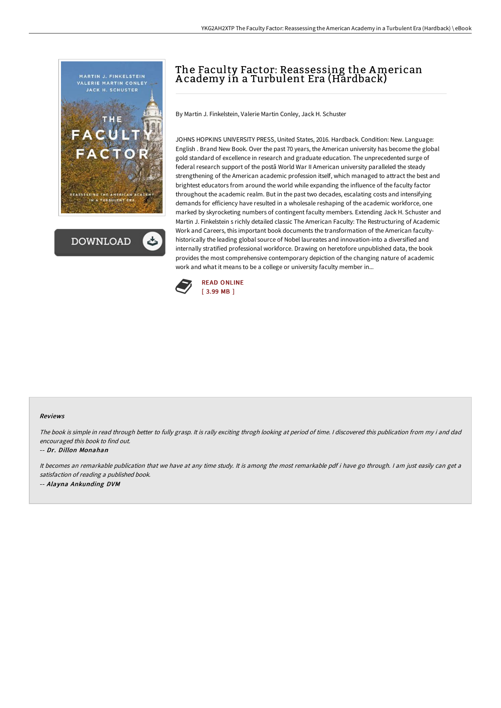



# The Faculty Factor: Reassessing the American A cademy in a Turbulent Era (Hardback)

By Martin J. Finkelstein, Valerie Martin Conley, Jack H. Schuster

JOHNS HOPKINS UNIVERSITY PRESS, United States, 2016. Hardback. Condition: New. Language: English . Brand New Book. Over the past 70 years, the American university has become the global gold standard of excellence in research and graduate education. The unprecedented surge of federal research support of the postâ World War II American university paralleled the steady strengthening of the American academic profession itself, which managed to attract the best and brightest educators from around the world while expanding the influence of the faculty factor throughout the academic realm. But in the past two decades, escalating costs and intensifying demands for efficiency have resulted in a wholesale reshaping of the academic workforce, one marked by skyrocketing numbers of contingent faculty members. Extending Jack H. Schuster and Martin J. Finkelstein s richly detailed classic The American Faculty: The Restructuring of Academic Work and Careers, this important book documents the transformation of the American facultyhistorically the leading global source of Nobel laureates and innovation-into a diversified and internally stratified professional workforce. Drawing on heretofore unpublished data, the book provides the most comprehensive contemporary depiction of the changing nature of academic work and what it means to be a college or university faculty member in...



## Reviews

The book is simple in read through better to fully grasp. It is rally exciting throgh looking at period of time. <sup>I</sup> discovered this publication from my i and dad encouraged this book to find out.

#### -- Dr. Dillon Monahan

It becomes an remarkable publication that we have at any time study. It is among the most remarkable pdf i have go through. <sup>I</sup> am just easily can get <sup>a</sup> satisfaction of reading <sup>a</sup> published book. -- Alayna Ankunding DVM